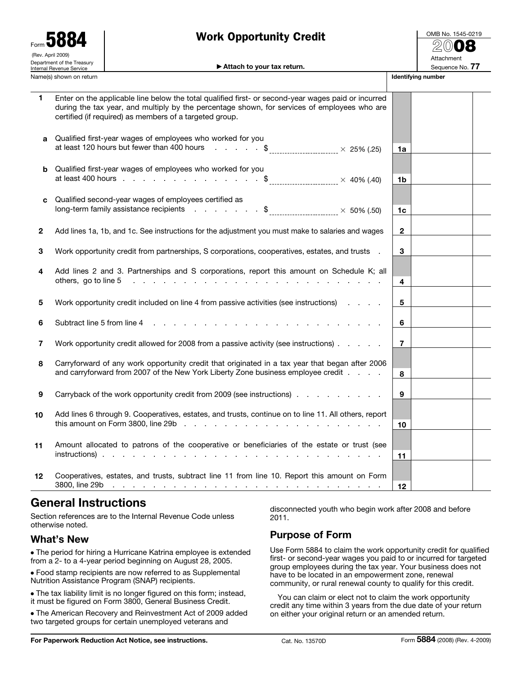| Form <b>JOO4</b><br>(Rev. April 2009)<br>Department of the Treasury<br>Internal Revenue Service |                                                                                                                                                                                                                                                                | ivin opportunty orour<br>Attach to your tax return.                                                                                                                                                                                                                                                                                                                  |                 | Attachment<br>Sequence No. 77 |  |  |  |
|-------------------------------------------------------------------------------------------------|----------------------------------------------------------------------------------------------------------------------------------------------------------------------------------------------------------------------------------------------------------------|----------------------------------------------------------------------------------------------------------------------------------------------------------------------------------------------------------------------------------------------------------------------------------------------------------------------------------------------------------------------|-----------------|-------------------------------|--|--|--|
|                                                                                                 | Name(s) shown on return                                                                                                                                                                                                                                        |                                                                                                                                                                                                                                                                                                                                                                      |                 | Identifying number            |  |  |  |
| 1                                                                                               | Enter on the applicable line below the total qualified first- or second-year wages paid or incurred<br>during the tax year, and multiply by the percentage shown, for services of employees who are<br>certified (if required) as members of a targeted group. |                                                                                                                                                                                                                                                                                                                                                                      |                 |                               |  |  |  |
| a                                                                                               |                                                                                                                                                                                                                                                                | Qualified first-year wages of employees who worked for you<br>at least 120 hours but fewer than 400 hours $\frac{1}{2}$ $\frac{1}{2}$ $\frac{1}{2}$ $\frac{1}{2}$ $\frac{1}{2}$ $\frac{1}{2}$ $\frac{1}{2}$ $\frac{1}{2}$ $\frac{1}{2}$ $\frac{1}{2}$ $\frac{1}{2}$ $\frac{1}{2}$ $\frac{1}{2}$ $\frac{1}{2}$ $\frac{1}{2}$ $\frac{1}{2}$ $\frac{1}{2}$ $\frac{1}{2$ | 1a              |                               |  |  |  |
| b                                                                                               |                                                                                                                                                                                                                                                                | Qualified first-year wages of employees who worked for you<br>at least 400 hours \$                                                                                                                                                                                                                                                                                  | 1b              |                               |  |  |  |
| C                                                                                               |                                                                                                                                                                                                                                                                | Qualified second-year wages of employees certified as<br>long-term family assistance recipients $\ldots$ $\ldots$ $\qquad$ $\downarrow$ $\qquad$ $\qquad$ $\qquad$ $\times$ 50% (.50)                                                                                                                                                                                | 1 <sub>c</sub>  |                               |  |  |  |
| 2                                                                                               |                                                                                                                                                                                                                                                                | Add lines 1a, 1b, and 1c. See instructions for the adjustment you must make to salaries and wages                                                                                                                                                                                                                                                                    | $\mathbf{2}$    |                               |  |  |  |
| 3                                                                                               |                                                                                                                                                                                                                                                                | Work opportunity credit from partnerships, S corporations, cooperatives, estates, and trusts .                                                                                                                                                                                                                                                                       | 3               |                               |  |  |  |
| 4                                                                                               |                                                                                                                                                                                                                                                                | Add lines 2 and 3. Partnerships and S corporations, report this amount on Schedule K; all                                                                                                                                                                                                                                                                            | 4               |                               |  |  |  |
| 5                                                                                               |                                                                                                                                                                                                                                                                | Work opportunity credit included on line 4 from passive activities (see instructions)                                                                                                                                                                                                                                                                                | 5               |                               |  |  |  |
| 6                                                                                               |                                                                                                                                                                                                                                                                |                                                                                                                                                                                                                                                                                                                                                                      | 6               |                               |  |  |  |
| 7                                                                                               |                                                                                                                                                                                                                                                                | Work opportunity credit allowed for 2008 from a passive activity (see instructions)                                                                                                                                                                                                                                                                                  | $\overline{7}$  |                               |  |  |  |
| 8                                                                                               |                                                                                                                                                                                                                                                                | Carryforward of any work opportunity credit that originated in a tax year that began after 2006<br>and carryforward from 2007 of the New York Liberty Zone business employee credit                                                                                                                                                                                  | 8               |                               |  |  |  |
| 9                                                                                               |                                                                                                                                                                                                                                                                | Carryback of the work opportunity credit from 2009 (see instructions)                                                                                                                                                                                                                                                                                                | 9               |                               |  |  |  |
| 10                                                                                              |                                                                                                                                                                                                                                                                | Add lines 6 through 9. Cooperatives, estates, and trusts, continue on to line 11. All others, report<br>this amount on Form 3800, line 29b $\ldots$ $\ldots$ $\ldots$ $\ldots$ $\ldots$ $\ldots$ $\ldots$ $\ldots$ $\ldots$                                                                                                                                          | 10              |                               |  |  |  |
| 11                                                                                              |                                                                                                                                                                                                                                                                | Amount allocated to patrons of the cooperative or beneficiaries of the estate or trust (see                                                                                                                                                                                                                                                                          | 11              |                               |  |  |  |
| 12                                                                                              |                                                                                                                                                                                                                                                                | Cooperatives, estates, and trusts, subtract line 11 from line 10. Report this amount on Form                                                                                                                                                                                                                                                                         | 12 <sup>°</sup> |                               |  |  |  |

Work Opportunity Credit

# **General Instructions**

Section references are to the Internal Revenue Code unless otherwise noted.

## **What's New**

Form 5884

● The period for hiring a Hurricane Katrina employee is extended from a 2- to a 4-year period beginning on August 28, 2005.

● Food stamp recipients are now referred to as Supplemental Nutrition Assistance Program (SNAP) recipients.

● The tax liability limit is no longer figured on this form; instead, it must be figured on Form 3800, General Business Credit.

● The American Recovery and Reinvestment Act of 2009 added two targeted groups for certain unemployed veterans and

disconnected youth who begin work after 2008 and before 2011.

## **Purpose of Form**

Use Form 5884 to claim the work opportunity credit for qualified first- or second-year wages you paid to or incurred for targeted group employees during the tax year. Your business does not have to be located in an empowerment zone, renewal community, or rural renewal county to qualify for this credit.

You can claim or elect not to claim the work opportunity credit any time within 3 years from the due date of your return on either your original return or an amended return.

OMB No. 1545-0219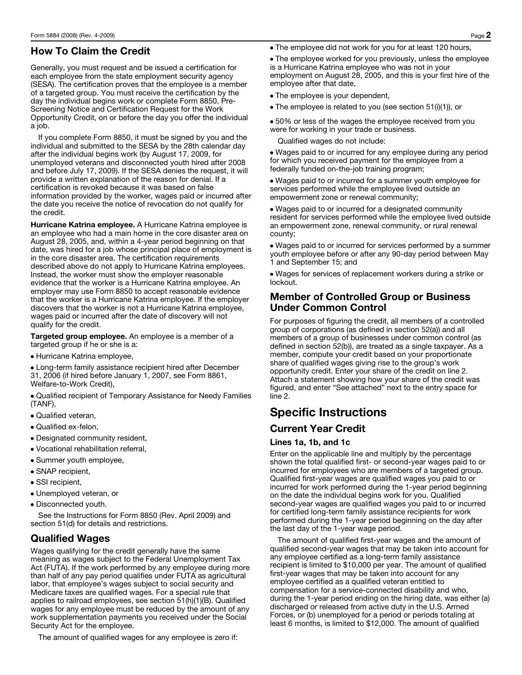# **How To Claim the Credit**

Generally, you must request and be issued a certification for each employee from the state employment security agency (SESA). The certification proves that the employee is a member of a targeted group. You must receive the certification by the day the individual begins work or complete Form 8850, Pre-Screening Notice and Certification Request for the Work Opportunity Credit, on or before the day you offer the individual a job.

If you complete Form 8850, it must be signed by you and the individual and submitted to the SESA by the 28th calendar day after the individual begins work (by August 17, 2009, for unemployed veterans and disconnected youth hired after 2008 and before July 17, 2009). If the SESA denies the request, it will provide a written explanation of the reason for denial. If a certification is revoked because it was based on false information provided by the worker, wages paid or incurred after the date you receive the notice of revocation do not qualify for the credit.

**Hurricane Katrina employee.** A Hurricane Katrina employee is an employee who had a main home in the core disaster area on August 28, 2005, and, within a 4-year period beginning on that date, was hired for a job whose principal place of employment is in the core disaster area. The certification requirements described above do not apply to Hurricane Katrina employees. Instead, the worker must show the employer reasonable evidence that the worker is a Hurricane Katrina employee. An employer may use Form 8850 to accept reasonable evidence that the worker is a Hurricane Katrina employee. If the employer discovers that the worker is not a Hurricane Katrina employee, wages paid or incurred after the date of discovery will not qualify for the credit.

**Targeted group employee.** An employee is a member of a targeted group if he or she is a:

● Hurricane Katrina employee,

• Long-term family assistance recipient hired after December 31, 2006 (if hired before January 1, 2007, see Form 8861, Welfare-to-Work Credit),

● Qualified recipient of Temporary Assistance for Needy Families (TANF),

- Qualified veteran,
- Qualified ex-felon,
- Designated community resident,
- Vocational rehabilitation referral,
- Summer youth employee,
- SNAP recipient,
- SSI recipient,
- Unemployed veteran, or
- Disconnected youth.

See the Instructions for Form 8850 (Rev. April 2009) and section 51(d) for details and restrictions.

### **Qualified Wages**

Wages qualifying for the credit generally have the same meaning as wages subject to the Federal Unemployment Tax Act (FUTA). If the work performed by any employee during more than half of any pay period qualifies under FUTA as agricultural labor, that employee's wages subject to social security and Medicare taxes are qualified wages. For a special rule that applies to railroad employees, see section 51(h)(1)(B). Qualified wages for any employee must be reduced by the amount of any work supplementation payments you received under the Social Security Act for the employee.

The amount of qualified wages for any employee is zero if:

● The employee did not work for you for at least 120 hours,

• The employee worked for you previously, unless the employee is a Hurricane Katrina employee who was not in your employment on August 28, 2005, and this is your first hire of the employee after that date,

- The employee is your dependent,
- The employee is related to you (see section 51(i)(1)), or

• 50% or less of the wages the employee received from you were for working in your trade or business.

Qualified wages do not include:

• Wages paid to or incurred for any employee during any period for which you received payment for the employee from a federally funded on-the-job training program;

• Wages paid to or incurred for a summer youth employee for services performed while the employee lived outside an empowerment zone or renewal community;

• Wages paid to or incurred for a designated community resident for services performed while the employee lived outside an empowerment zone, renewal community, or rural renewal county;

• Wages paid to or incurred for services performed by a summer youth employee before or after any 90-day period between May 1 and September 15; and

• Wages for services of replacement workers during a strike or lockout.

### **Member of Controlled Group or Business Under Common Control**

For purposes of figuring the credit, all members of a controlled group of corporations (as defined in section 52(a)) and all members of a group of businesses under common control (as defined in section 52(b)), are treated as a single taxpayer. As a member, compute your credit based on your proportionate share of qualified wages giving rise to the group's work opportunity credit. Enter your share of the credit on line 2. Attach a statement showing how your share of the credit was figured, and enter "See attached" next to the entry space for line 2.

# **Specific Instructions**

### **Current Year Credit**

#### **Lines 1a, 1b, and 1c**

Enter on the applicable line and multiply by the percentage shown the total qualified first- or second-year wages paid to or incurred for employees who are members of a targeted group. Qualified first-year wages are qualified wages you paid to or incurred for work performed during the 1-year period beginning on the date the individual begins work for you. Qualified second-year wages are qualified wages you paid to or incurred for certified long-term family assistance recipients for work performed during the 1-year period beginning on the day after the last day of the 1-year wage period.

The amount of qualified first-year wages and the amount of qualified second-year wages that may be taken into account for any employee certified as a long-term family assistance recipient is limited to \$10,000 per year. The amount of qualified first-year wages that may be taken into account for any employee certified as a qualified veteran entitled to compensation for a service-connected disability and who, during the 1-year period ending on the hiring date, was either (a) discharged or released from active duty in the U.S. Armed Forces, or (b) unemployed for a period or periods totaling at least 6 months, is limited to \$12,000. The amount of qualified